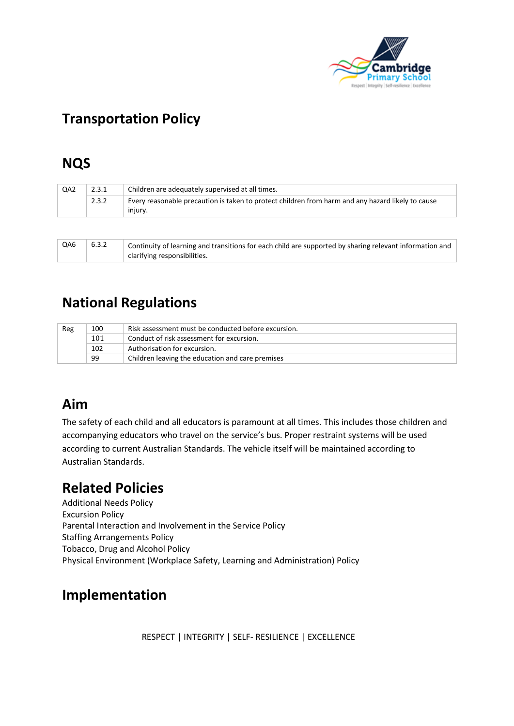

# **Transportation Policy**

## **NQS**

| QA <sub>2</sub> | 2.3.1 | Children are adequately supervised at all times.                                                             |  |  |
|-----------------|-------|--------------------------------------------------------------------------------------------------------------|--|--|
|                 | 2.3.2 | Every reasonable precaution is taken to protect children from harm and any hazard likely to cause<br>iniurv. |  |  |
|                 |       |                                                                                                              |  |  |

| QA6 | 6.3.2 | Continuity of learning and transitions for each child are supported by sharing relevant information and |
|-----|-------|---------------------------------------------------------------------------------------------------------|
|     |       | clarifying responsibilities.                                                                            |

# **National Regulations**

| Reg | 100 | Risk assessment must be conducted before excursion. |  |
|-----|-----|-----------------------------------------------------|--|
|     | 101 | Conduct of risk assessment for excursion.           |  |
|     | 102 | Authorisation for excursion.                        |  |
|     | 99  | Children leaving the education and care premises    |  |

### **Aim**

The safety of each child and all educators is paramount at all times. This includes those children and accompanying educators who travel on the service's bus. Proper restraint systems will be used according to current Australian Standards. The vehicle itself will be maintained according to Australian Standards.

### **Related Policies**

Additional Needs Policy Excursion Policy Parental Interaction and Involvement in the Service Policy Staffing Arrangements Policy Tobacco, Drug and Alcohol Policy Physical Environment (Workplace Safety, Learning and Administration) Policy

### **Implementation**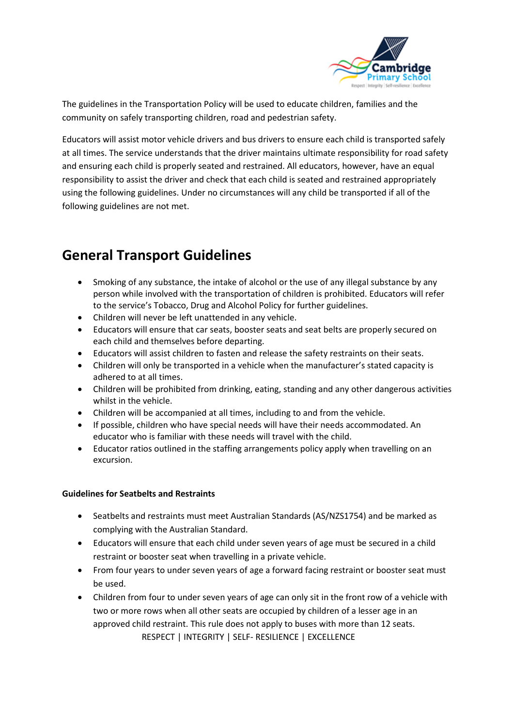

The guidelines in the Transportation Policy will be used to educate children, families and the community on safely transporting children, road and pedestrian safety.

Educators will assist motor vehicle drivers and bus drivers to ensure each child is transported safely at all times. The service understands that the driver maintains ultimate responsibility for road safety and ensuring each child is properly seated and restrained. All educators, however, have an equal responsibility to assist the driver and check that each child is seated and restrained appropriately using the following guidelines. Under no circumstances will any child be transported if all of the following guidelines are not met.

# **General Transport Guidelines**

- Smoking of any substance, the intake of alcohol or the use of any illegal substance by any person while involved with the transportation of children is prohibited. Educators will refer to the service's Tobacco, Drug and Alcohol Policy for further guidelines.
- Children will never be left unattended in any vehicle.
- Educators will ensure that car seats, booster seats and seat belts are properly secured on each child and themselves before departing.
- Educators will assist children to fasten and release the safety restraints on their seats.
- Children will only be transported in a vehicle when the manufacturer's stated capacity is adhered to at all times.
- Children will be prohibited from drinking, eating, standing and any other dangerous activities whilst in the vehicle.
- Children will be accompanied at all times, including to and from the vehicle.
- If possible, children who have special needs will have their needs accommodated. An educator who is familiar with these needs will travel with the child.
- Educator ratios outlined in the staffing arrangements policy apply when travelling on an excursion.

#### **Guidelines for Seatbelts and Restraints**

- Seatbelts and restraints must meet Australian Standards (AS/NZS1754) and be marked as complying with the Australian Standard.
- Educators will ensure that each child under seven years of age must be secured in a child restraint or booster seat when travelling in a private vehicle.
- From four years to under seven years of age a forward facing restraint or booster seat must be used.
- RESPECT | INTEGRITY | SELF- RESILIENCE | EXCELLENCE • Children from four to under seven years of age can only sit in the front row of a vehicle with two or more rows when all other seats are occupied by children of a lesser age in an approved child restraint. This rule does not apply to buses with more than 12 seats.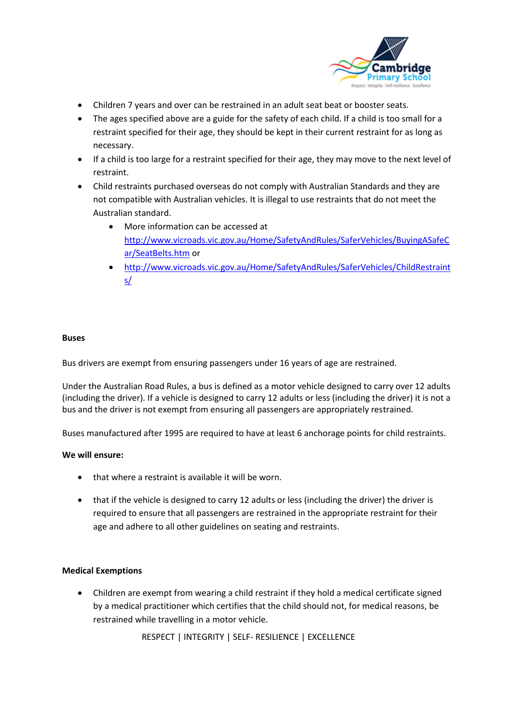

- Children 7 years and over can be restrained in an adult seat beat or booster seats.
- The ages specified above are a guide for the safety of each child. If a child is too small for a restraint specified for their age, they should be kept in their current restraint for as long as necessary.
- If a child is too large for a restraint specified for their age, they may move to the next level of restraint.
- Child restraints purchased overseas do not comply with Australian Standards and they are not compatible with Australian vehicles. It is illegal to use restraints that do not meet the Australian standard.
	- More information can be accessed at [http://www.vicroads.vic.gov.au/Home/SafetyAndRules/SaferVehicles/BuyingASafeC](http://www.vicroads.vic.gov.au/Home/SafetyAndRules/SaferVehicles/BuyingASafeCar/SeatBelts.htm) [ar/SeatBelts.htm](http://www.vicroads.vic.gov.au/Home/SafetyAndRules/SaferVehicles/BuyingASafeCar/SeatBelts.htm) or
	- [http://www.vicroads.vic.gov.au/Home/SafetyAndRules/SaferVehicles/ChildRestraint](http://www.vicroads.vic.gov.au/Home/SafetyAndRules/SaferVehicles/ChildRestraints/) [s/](http://www.vicroads.vic.gov.au/Home/SafetyAndRules/SaferVehicles/ChildRestraints/)

#### **Buses**

Bus drivers are exempt from ensuring passengers under 16 years of age are restrained.

Under the Australian Road Rules, a bus is defined as a motor vehicle designed to carry over 12 adults (including the driver). If a vehicle is designed to carry 12 adults or less (including the driver) it is not a bus and the driver is not exempt from ensuring all passengers are appropriately restrained.

Buses manufactured after 1995 are required to have at least 6 anchorage points for child restraints.

#### **We will ensure:**

- that where a restraint is available it will be worn.
- that if the vehicle is designed to carry 12 adults or less (including the driver) the driver is required to ensure that all passengers are restrained in the appropriate restraint for their age and adhere to all other guidelines on seating and restraints.

#### **Medical Exemptions**

• Children are exempt from wearing a child restraint if they hold a medical certificate signed by a medical practitioner which certifies that the child should not, for medical reasons, be restrained while travelling in a motor vehicle.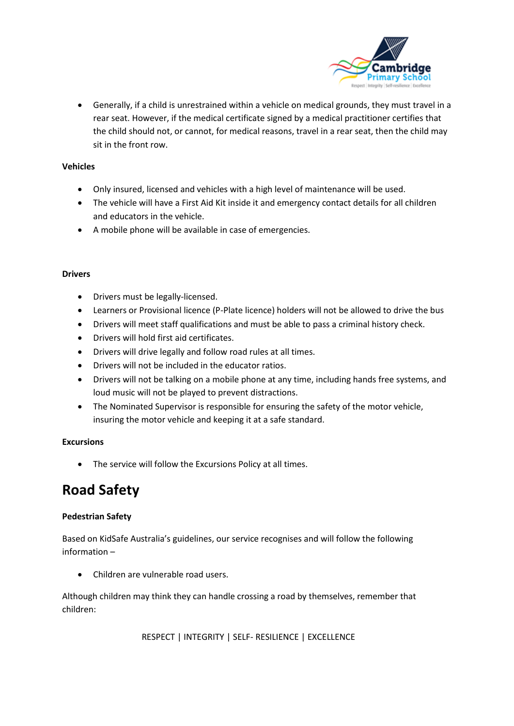

• Generally, if a child is unrestrained within a vehicle on medical grounds, they must travel in a rear seat. However, if the medical certificate signed by a medical practitioner certifies that the child should not, or cannot, for medical reasons, travel in a rear seat, then the child may sit in the front row.

#### **Vehicles**

- Only insured, licensed and vehicles with a high level of maintenance will be used.
- The vehicle will have a First Aid Kit inside it and emergency contact details for all children and educators in the vehicle.
- A mobile phone will be available in case of emergencies.

#### **Drivers**

- Drivers must be legally-licensed.
- Learners or Provisional licence (P-Plate licence) holders will not be allowed to drive the bus
- Drivers will meet staff qualifications and must be able to pass a criminal history check.
- Drivers will hold first aid certificates.
- Drivers will drive legally and follow road rules at all times.
- Drivers will not be included in the educator ratios.
- Drivers will not be talking on a mobile phone at any time, including hands free systems, and loud music will not be played to prevent distractions.
- The Nominated Supervisor is responsible for ensuring the safety of the motor vehicle, insuring the motor vehicle and keeping it at a safe standard.

#### **Excursions**

• The service will follow the Excursions Policy at all times.

### **Road Safety**

#### **Pedestrian Safety**

Based on KidSafe Australia's guidelines, our service recognises and will follow the following information –

• Children are vulnerable road users.

Although children may think they can handle crossing a road by themselves, remember that children: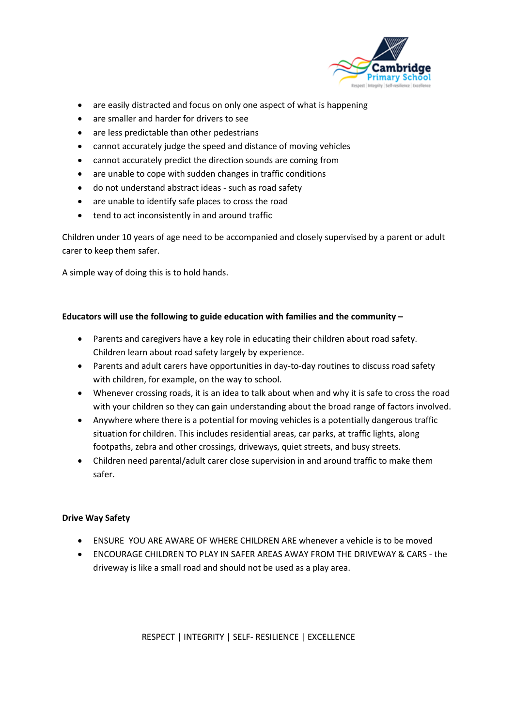

- are easily distracted and focus on only one aspect of what is happening
- are smaller and harder for drivers to see
- are less predictable than other pedestrians
- cannot accurately judge the speed and distance of moving vehicles
- cannot accurately predict the direction sounds are coming from
- are unable to cope with sudden changes in traffic conditions
- do not understand abstract ideas such as road safety
- are unable to identify safe places to cross the road
- tend to act inconsistently in and around traffic

Children under 10 years of age need to be accompanied and closely supervised by a parent or adult carer to keep them safer.

A simple way of doing this is to hold hands.

#### **Educators will use the following to guide education with families and the community –**

- Parents and caregivers have a key role in educating their children about road safety. Children learn about road safety largely by experience.
- Parents and adult carers have opportunities in day-to-day routines to discuss road safety with children, for example, on the way to school.
- Whenever crossing roads, it is an idea to talk about when and why it is safe to cross the road with your children so they can gain understanding about the broad range of factors involved.
- Anywhere where there is a potential for moving vehicles is a potentially dangerous traffic situation for children. This includes residential areas, car parks, at traffic lights, along footpaths, zebra and other crossings, driveways, quiet streets, and busy streets.
- Children need parental/adult carer close supervision in and around traffic to make them safer.

#### **Drive Way Safety**

- ENSURE YOU ARE AWARE OF WHERE CHILDREN ARE whenever a vehicle is to be moved
- ENCOURAGE CHILDREN TO PLAY IN SAFER AREAS AWAY FROM THE DRIVEWAY & CARS the driveway is like a small road and should not be used as a play area.